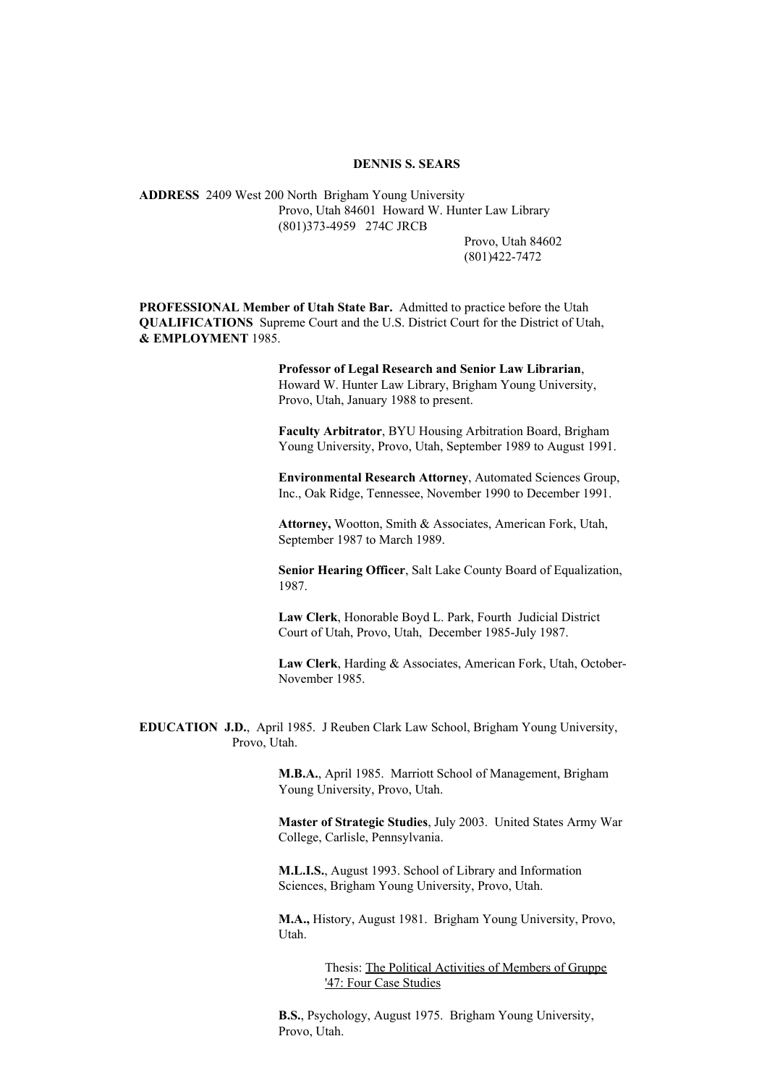### **DENNIS S. SEARS**

**ADDRESS** 2409 West 200 North Brigham Young University Provo, Utah 84601 Howard W. Hunter Law Library (801)373-4959 274C JRCB

> Provo, Utah 84602 (801)422-7472

**PROFESSIONAL Member of Utah State Bar.** Admitted to practice before the Utah **QUALIFICATIONS** Supreme Court and the U.S. District Court for the District of Utah, **& EMPLOYMENT** 1985.

> **Professor of Legal Research and Senior Law Librarian**, Howard W. Hunter Law Library, Brigham Young University, Provo, Utah, January 1988 to present.

**Faculty Arbitrator**, BYU Housing Arbitration Board, Brigham Young University, Provo, Utah, September 1989 to August 1991.

**Environmental Research Attorney**, Automated Sciences Group, Inc., Oak Ridge, Tennessee, November 1990 to December 1991.

**Attorney,** Wootton, Smith & Associates, American Fork, Utah, September 1987 to March 1989.

**Senior Hearing Officer**, Salt Lake County Board of Equalization, 1987.

**Law Clerk**, Honorable Boyd L. Park, Fourth Judicial District Court of Utah, Provo, Utah, December 1985-July 1987.

**Law Clerk**, Harding & Associates, American Fork, Utah, October-November 1985.

**EDUCATION J.D.**, April 1985. J Reuben Clark Law School, Brigham Young University, Provo, Utah.

> **M.B.A.**, April 1985. Marriott School of Management, Brigham Young University, Provo, Utah.

**Master of Strategic Studies**, July 2003. United States Army War College, Carlisle, Pennsylvania.

**M.L.I.S.**, August 1993. School of Library and Information Sciences, Brigham Young University, Provo, Utah.

**M.A.,** History, August 1981. Brigham Young University, Provo, Utah.

> Thesis: The Political Activities of Members of Gruppe '47: Four Case Studies

**B.S.**, Psychology, August 1975. Brigham Young University, Provo, Utah.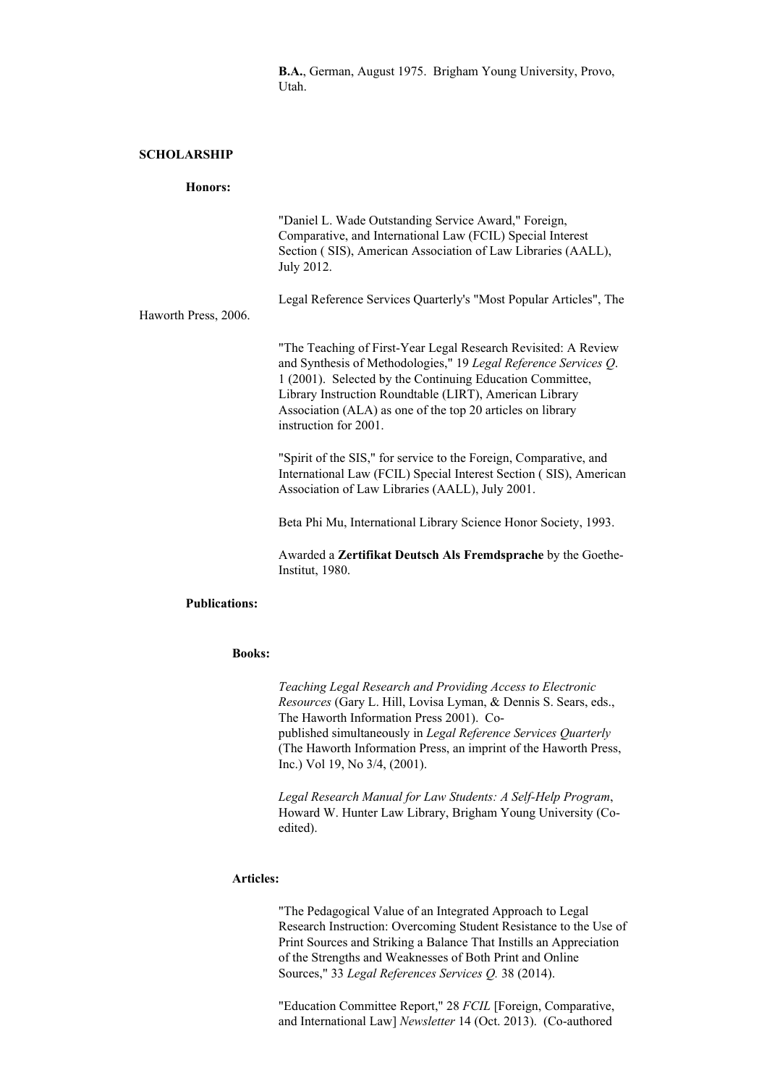**B.A.**, German, August 1975. Brigham Young University, Provo, Utah.

# **SCHOLARSHIP**

#### **Honors:**

|                      | "Daniel L. Wade Outstanding Service Award," Foreign,<br>Comparative, and International Law (FCIL) Special Interest<br>Section (SIS), American Association of Law Libraries (AALL),<br>July 2012.                                                                                                                                                 |
|----------------------|--------------------------------------------------------------------------------------------------------------------------------------------------------------------------------------------------------------------------------------------------------------------------------------------------------------------------------------------------|
| Haworth Press, 2006. | Legal Reference Services Quarterly's "Most Popular Articles", The                                                                                                                                                                                                                                                                                |
|                      | "The Teaching of First-Year Legal Research Revisited: A Review<br>and Synthesis of Methodologies," 19 Legal Reference Services Q.<br>1 (2001). Selected by the Continuing Education Committee,<br>Library Instruction Roundtable (LIRT), American Library<br>Association (ALA) as one of the top 20 articles on library<br>instruction for 2001. |
|                      | "Spirit of the SIS," for service to the Foreign, Comparative, and<br>International Law (FCIL) Special Interest Section (SIS), American<br>Association of Law Libraries (AALL), July 2001.                                                                                                                                                        |
|                      | Beta Phi Mu, International Library Science Honor Society, 1993.                                                                                                                                                                                                                                                                                  |
|                      | Awarded a <b>Zertifikat Deutsch Als Fremdsprache</b> by the Goethe-<br>Institut, 1980.                                                                                                                                                                                                                                                           |

# **Publications:**

#### **Books:**

*Teaching Legal Research and Providing Access to Electronic Resources* (Gary L. Hill, Lovisa Lyman, & Dennis S. Sears, eds., The Haworth Information Press 2001). Copublished simultaneously in *Legal Reference Services Quarterly* (The Haworth Information Press, an imprint of the Haworth Press, Inc.) Vol 19, No 3/4, (2001).

*Legal Research Manual for Law Students: A Self-Help Program*, Howard W. Hunter Law Library, Brigham Young University (Coedited).

# **Articles:**

"The Pedagogical Value of an Integrated Approach to Legal Research Instruction: Overcoming Student Resistance to the Use of Print Sources and Striking a Balance That Instills an Appreciation of the Strengths and Weaknesses of Both Print and Online Sources," 33 *Legal References Services Q.* 38 (2014).

"Education Committee Report," 28 *FCIL* [Foreign, Comparative, and International Law] *Newsletter* 14 (Oct. 2013). (Co-authored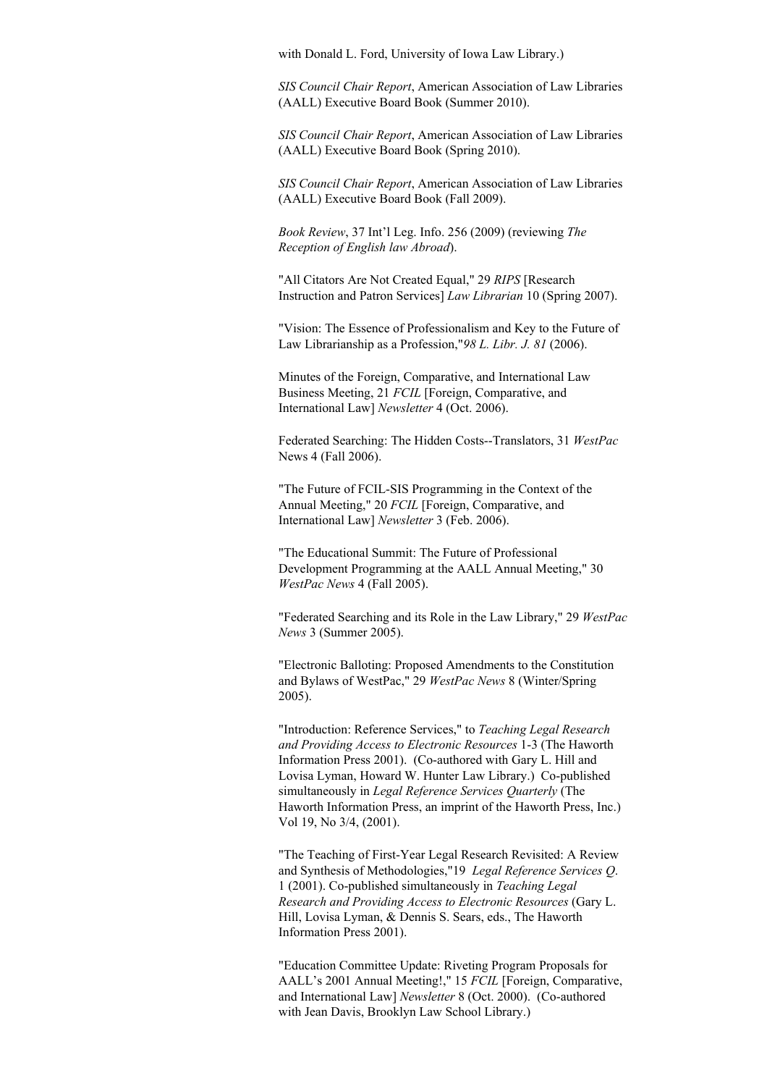with Donald L. Ford, University of Iowa Law Library.)

*SIS Council Chair Report*, American Association of Law Libraries (AALL) Executive Board Book (Summer 2010).

*SIS Council Chair Report*, American Association of Law Libraries (AALL) Executive Board Book (Spring 2010).

*SIS Council Chair Report*, American Association of Law Libraries (AALL) Executive Board Book (Fall 2009).

*Book Review*, 37 Int'l Leg. Info. 256 (2009) (reviewing *The Reception of English law Abroad*).

"All Citators Are Not Created Equal," 29 *RIPS* [Research Instruction and Patron Services] *Law Librarian* 10 (Spring 2007).

"Vision: The Essence of Professionalism and Key to the Future of Law Librarianship as a Profession,"*98 L. Libr. J. 81* (2006).

Minutes of the Foreign, Comparative, and International Law Business Meeting, 21 *FCIL* [Foreign, Comparative, and International Law] *Newsletter* 4 (Oct. 2006).

Federated Searching: The Hidden Costs--Translators, 31 *WestPac* News 4 (Fall 2006).

"The Future of FCIL-SIS Programming in the Context of the Annual Meeting," 20 *FCIL* [Foreign, Comparative, and International Law] *Newsletter* 3 (Feb. 2006).

"The Educational Summit: The Future of Professional Development Programming at the AALL Annual Meeting," 30 *WestPac News* 4 (Fall 2005).

"Federated Searching and its Role in the Law Library," 29 *WestPac News* 3 (Summer 2005).

"Electronic Balloting: Proposed Amendments to the Constitution and Bylaws of WestPac," 29 *WestPac News* 8 (Winter/Spring 2005).

"Introduction: Reference Services," to *Teaching Legal Research and Providing Access to Electronic Resources* 1-3 (The Haworth Information Press 2001). (Co-authored with Gary L. Hill and Lovisa Lyman, Howard W. Hunter Law Library.) Co-published simultaneously in *Legal Reference Services Quarterly* (The Haworth Information Press, an imprint of the Haworth Press, Inc.) Vol 19, No 3/4, (2001).

"The Teaching of First-Year Legal Research Revisited: A Review and Synthesis of Methodologies,"19 *Legal Reference Services Q*. 1 (2001). Co-published simultaneously in *Teaching Legal Research and Providing Access to Electronic Resources* (Gary L. Hill, Lovisa Lyman, & Dennis S. Sears, eds., The Haworth Information Press 2001).

"Education Committee Update: Riveting Program Proposals for AALL's 2001 Annual Meeting!," 15 *FCIL* [Foreign, Comparative, and International Law] *Newsletter* 8 (Oct. 2000). (Co-authored with Jean Davis, Brooklyn Law School Library.)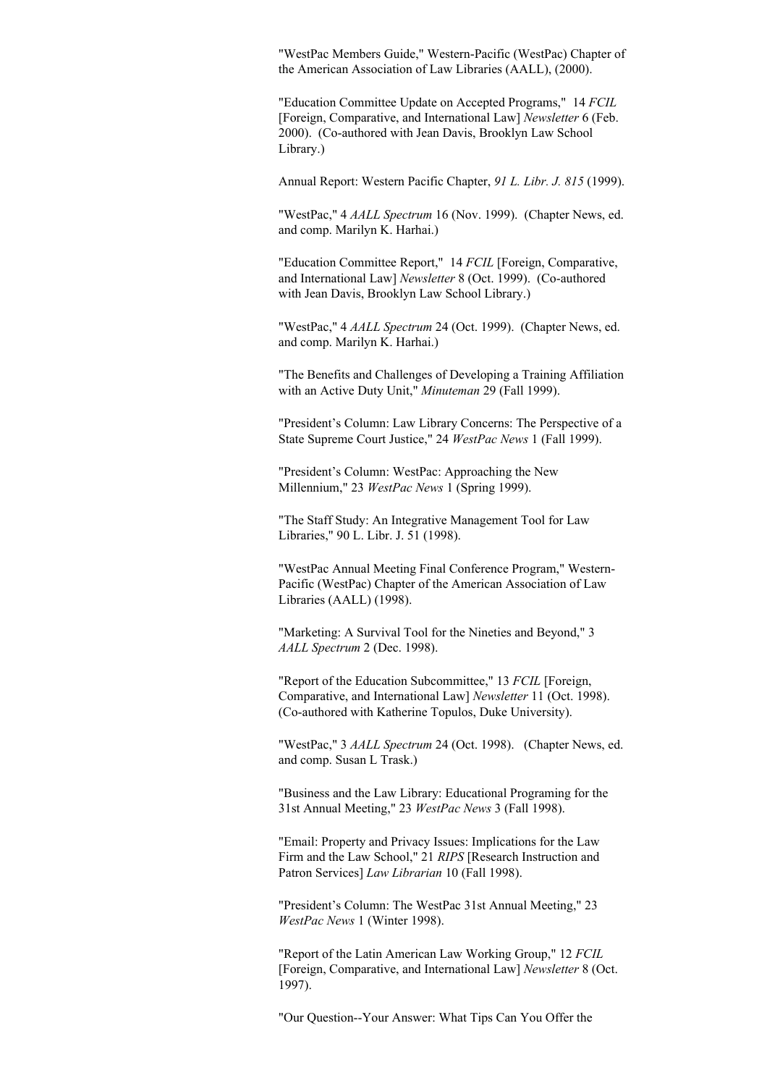"WestPac Members Guide," Western-Pacific (WestPac) Chapter of the American Association of Law Libraries (AALL), (2000).

"Education Committee Update on Accepted Programs," 14 *FCIL* [Foreign, Comparative, and International Law] *Newsletter* 6 (Feb. 2000). (Co-authored with Jean Davis, Brooklyn Law School Library.)

Annual Report: Western Pacific Chapter, *91 L. Libr. J. 815* (1999).

"WestPac," 4 *AALL Spectrum* 16 (Nov. 1999). (Chapter News, ed. and comp. Marilyn K. Harhai.)

"Education Committee Report," 14 *FCIL* [Foreign, Comparative, and International Law] *Newsletter* 8 (Oct. 1999). (Co-authored with Jean Davis, Brooklyn Law School Library.)

"WestPac," 4 *AALL Spectrum* 24 (Oct. 1999). (Chapter News, ed. and comp. Marilyn K. Harhai.)

"The Benefits and Challenges of Developing a Training Affiliation with an Active Duty Unit," *Minuteman* 29 (Fall 1999).

"President's Column: Law Library Concerns: The Perspective of a State Supreme Court Justice," 24 *WestPac News* 1 (Fall 1999).

"President's Column: WestPac: Approaching the New Millennium," 23 *WestPac News* 1 (Spring 1999).

"The Staff Study: An Integrative Management Tool for Law Libraries," 90 L. Libr. J. 51 (1998).

"WestPac Annual Meeting Final Conference Program," Western-Pacific (WestPac) Chapter of the American Association of Law Libraries (AALL) (1998).

"Marketing: A Survival Tool for the Nineties and Beyond," 3 *AALL Spectrum* 2 (Dec. 1998).

"Report of the Education Subcommittee," 13 *FCIL* [Foreign, Comparative, and International Law] *Newsletter* 11 (Oct. 1998). (Co-authored with Katherine Topulos, Duke University).

"WestPac," 3 *AALL Spectrum* 24 (Oct. 1998). (Chapter News, ed. and comp. Susan L Trask.)

"Business and the Law Library: Educational Programing for the 31st Annual Meeting," 23 *WestPac News* 3 (Fall 1998).

"Email: Property and Privacy Issues: Implications for the Law Firm and the Law School," 21 *RIPS* [Research Instruction and Patron Services] *Law Librarian* 10 (Fall 1998).

"President's Column: The WestPac 31st Annual Meeting," 23 *WestPac News* 1 (Winter 1998).

"Report of the Latin American Law Working Group," 12 *FCIL* [Foreign, Comparative, and International Law] *Newsletter* 8 (Oct. 1997).

"Our Question--Your Answer: What Tips Can You Offer the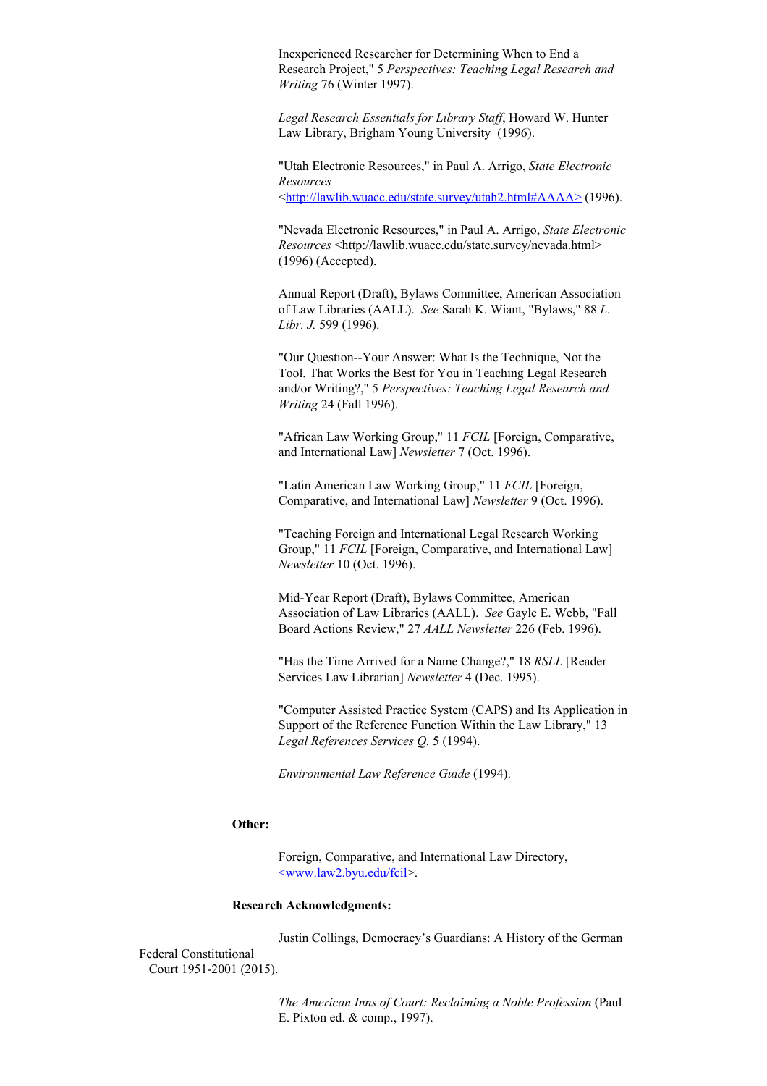Inexperienced Researcher for Determining When to End a Research Project," 5 *Perspectives: Teaching Legal Research and Writing* 76 (Winter 1997).

*Legal Research Essentials for Library Staf* , Howard W. Hunter Law Library, Brigham Young University (1996).

"Utah Electronic Resources," in Paul A. Arrigo, *State Electronic Resources* <http://lawlib.wuacc.edu/state.survey/utah2.html#AAAA> (1996).

"Nevada Electronic Resources," in Paul A. Arrigo, *State Electronic Resources* <http://lawlib.wuacc.edu/state.survey/nevada.html> (1996) (Accepted).

Annual Report (Draft), Bylaws Committee, American Association of Law Libraries (AALL). *See* Sarah K. Wiant, "Bylaws," 88 *L. Libr. J.* 599 (1996).

"Our Question--Your Answer: What Is the Technique, Not the Tool, That Works the Best for You in Teaching Legal Research and/or Writing?," 5 *Perspectives: Teaching Legal Research and Writing* 24 (Fall 1996).

"African Law Working Group," 11 *FCIL* [Foreign, Comparative, and International Law] *Newsletter* 7 (Oct. 1996).

"Latin American Law Working Group," 11 *FCIL* [Foreign, Comparative, and International Law] *Newsletter* 9 (Oct. 1996).

"Teaching Foreign and International Legal Research Working Group," 11 *FCIL* [Foreign, Comparative, and International Law] *Newsletter* 10 (Oct. 1996).

Mid-Year Report (Draft), Bylaws Committee, American Association of Law Libraries (AALL). *See* Gayle E. Webb, "Fall Board Actions Review," 27 *AALL Newsletter* 226 (Feb. 1996).

"Has the Time Arrived for a Name Change?," 18 *RSLL* [Reader Services Law Librarian] *Newsletter* 4 (Dec. 1995).

"Computer Assisted Practice System (CAPS) and Its Application in Support of the Reference Function Within the Law Library," 13 *Legal References Services Q.* 5 (1994).

*Environmental Law Reference Guide* (1994).

### **Other:**

Foreign, Comparative, and International Law Directory, <www.law2.byu.edu/fcil>.

### **Research Acknowledgments:**

Justin Collings, Democracy's Guardians: A History of the German

Federal Constitutional Court 1951-2001 (2015).

> *The American Inns of Court: Reclaiming a Noble Profession* (Paul E. Pixton ed. & comp., 1997).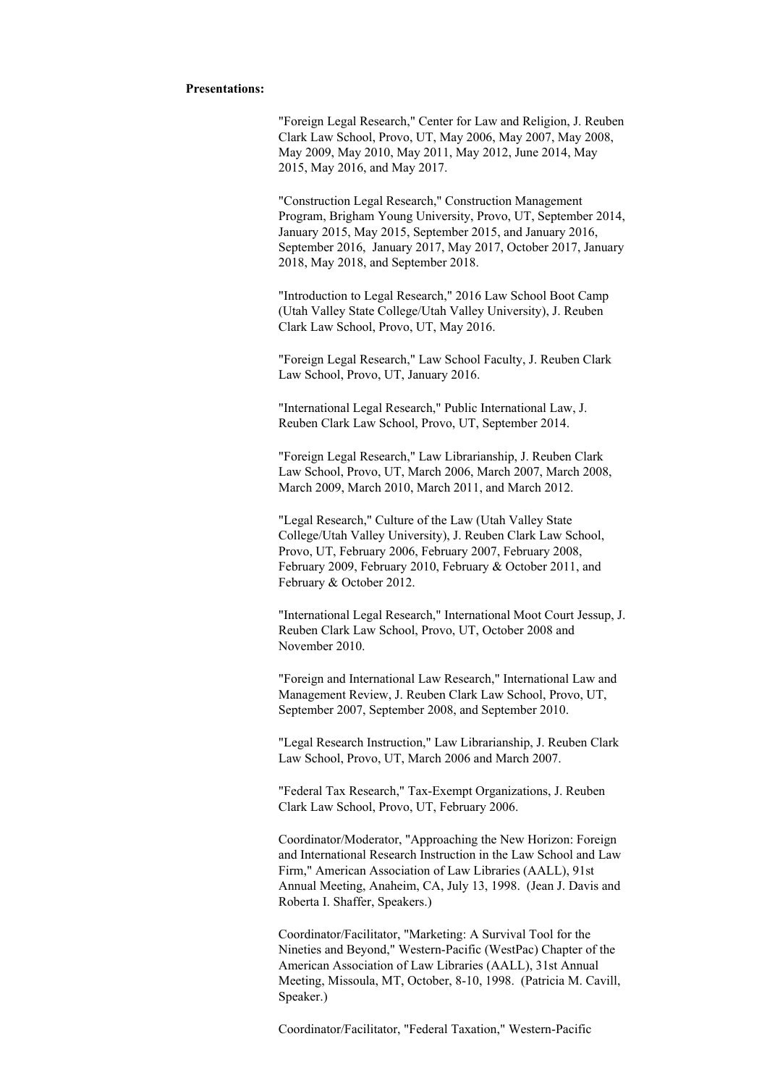### **Presentations:**

"Foreign Legal Research," Center for Law and Religion, J. Reuben Clark Law School, Provo, UT, May 2006, May 2007, May 2008, May 2009, May 2010, May 2011, May 2012, June 2014, May 2015, May 2016, and May 2017.

"Construction Legal Research," Construction Management Program, Brigham Young University, Provo, UT, September 2014, January 2015, May 2015, September 2015, and January 2016, September 2016, January 2017, May 2017, October 2017, January 2018, May 2018, and September 2018.

"Introduction to Legal Research," 2016 Law School Boot Camp (Utah Valley State College/Utah Valley University), J. Reuben Clark Law School, Provo, UT, May 2016.

"Foreign Legal Research," Law School Faculty, J. Reuben Clark Law School, Provo, UT, January 2016.

"International Legal Research," Public International Law, J. Reuben Clark Law School, Provo, UT, September 2014.

"Foreign Legal Research," Law Librarianship, J. Reuben Clark Law School, Provo, UT, March 2006, March 2007, March 2008, March 2009, March 2010, March 2011, and March 2012.

"Legal Research," Culture of the Law (Utah Valley State College/Utah Valley University), J. Reuben Clark Law School, Provo, UT, February 2006, February 2007, February 2008, February 2009, February 2010, February & October 2011, and February & October 2012.

"International Legal Research," International Moot Court Jessup, J. Reuben Clark Law School, Provo, UT, October 2008 and November 2010.

"Foreign and International Law Research," International Law and Management Review, J. Reuben Clark Law School, Provo, UT, September 2007, September 2008, and September 2010.

"Legal Research Instruction," Law Librarianship, J. Reuben Clark Law School, Provo, UT, March 2006 and March 2007.

"Federal Tax Research," Tax-Exempt Organizations, J. Reuben Clark Law School, Provo, UT, February 2006.

Coordinator/Moderator, "Approaching the New Horizon: Foreign and International Research Instruction in the Law School and Law Firm," American Association of Law Libraries (AALL), 91st Annual Meeting, Anaheim, CA, July 13, 1998. (Jean J. Davis and Roberta I. Shaffer, Speakers.)

Coordinator/Facilitator, "Marketing: A Survival Tool for the Nineties and Beyond," Western-Pacific (WestPac) Chapter of the American Association of Law Libraries (AALL), 31st Annual Meeting, Missoula, MT, October, 8-10, 1998. (Patricia M. Cavill, Speaker.)

Coordinator/Facilitator, "Federal Taxation," Western-Pacific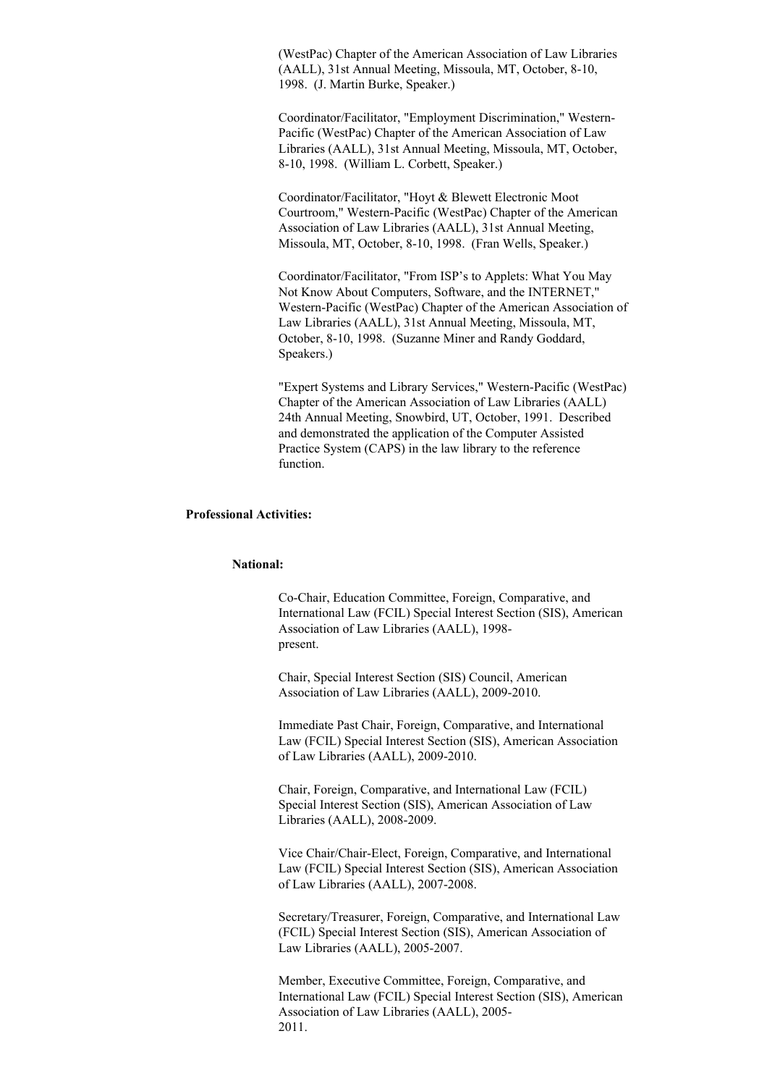(WestPac) Chapter of the American Association of Law Libraries (AALL), 31st Annual Meeting, Missoula, MT, October, 8-10, 1998. (J. Martin Burke, Speaker.)

Coordinator/Facilitator, "Employment Discrimination," Western-Pacific (WestPac) Chapter of the American Association of Law Libraries (AALL), 31st Annual Meeting, Missoula, MT, October, 8-10, 1998. (William L. Corbett, Speaker.)

Coordinator/Facilitator, "Hoyt & Blewett Electronic Moot Courtroom," Western-Pacific (WestPac) Chapter of the American Association of Law Libraries (AALL), 31st Annual Meeting, Missoula, MT, October, 8-10, 1998. (Fran Wells, Speaker.)

Coordinator/Facilitator, "From ISP's to Applets: What You May Not Know About Computers, Software, and the INTERNET," Western-Pacific (WestPac) Chapter of the American Association of Law Libraries (AALL), 31st Annual Meeting, Missoula, MT, October, 8-10, 1998. (Suzanne Miner and Randy Goddard, Speakers.)

"Expert Systems and Library Services," Western-Pacific (WestPac) Chapter of the American Association of Law Libraries (AALL) 24th Annual Meeting, Snowbird, UT, October, 1991. Described and demonstrated the application of the Computer Assisted Practice System (CAPS) in the law library to the reference function.

## **Professional Activities:**

#### **National:**

Co-Chair, Education Committee, Foreign, Comparative, and International Law (FCIL) Special Interest Section (SIS), American Association of Law Libraries (AALL), 1998 present.

Chair, Special Interest Section (SIS) Council, American Association of Law Libraries (AALL), 2009-2010.

Immediate Past Chair, Foreign, Comparative, and International Law (FCIL) Special Interest Section (SIS), American Association of Law Libraries (AALL), 2009-2010.

Chair, Foreign, Comparative, and International Law (FCIL) Special Interest Section (SIS), American Association of Law Libraries (AALL), 2008-2009.

Vice Chair/Chair-Elect, Foreign, Comparative, and International Law (FCIL) Special Interest Section (SIS), American Association of Law Libraries (AALL), 2007-2008.

Secretary/Treasurer, Foreign, Comparative, and International Law (FCIL) Special Interest Section (SIS), American Association of Law Libraries (AALL), 2005-2007.

Member, Executive Committee, Foreign, Comparative, and International Law (FCIL) Special Interest Section (SIS), American Association of Law Libraries (AALL), 2005- 2011.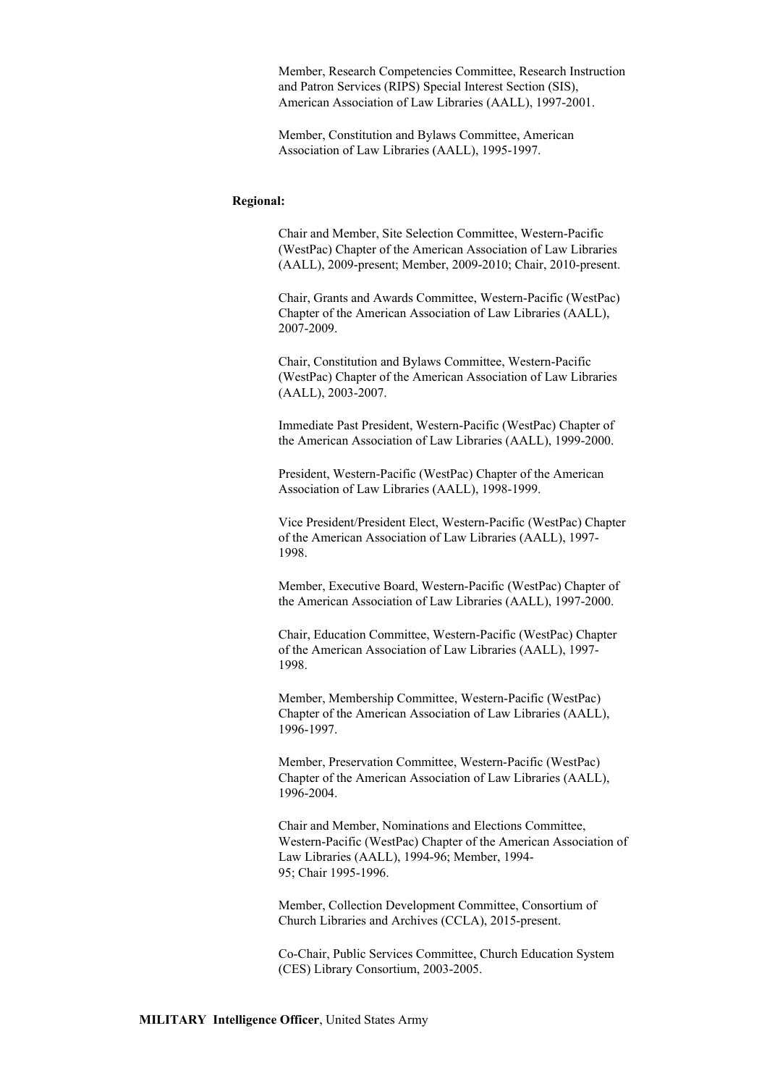Member, Research Competencies Committee, Research Instruction and Patron Services (RIPS) Special Interest Section (SIS), American Association of Law Libraries (AALL), 1997-2001.

Member, Constitution and Bylaws Committee, American Association of Law Libraries (AALL), 1995-1997.

#### **Regional:**

Chair and Member, Site Selection Committee, Western-Pacific (WestPac) Chapter of the American Association of Law Libraries (AALL), 2009-present; Member, 2009-2010; Chair, 2010-present.

Chair, Grants and Awards Committee, Western-Pacific (WestPac) Chapter of the American Association of Law Libraries (AALL), 2007-2009.

Chair, Constitution and Bylaws Committee, Western-Pacific (WestPac) Chapter of the American Association of Law Libraries (AALL), 2003-2007.

Immediate Past President, Western-Pacific (WestPac) Chapter of the American Association of Law Libraries (AALL), 1999-2000.

President, Western-Pacific (WestPac) Chapter of the American Association of Law Libraries (AALL), 1998-1999.

Vice President/President Elect, Western-Pacific (WestPac) Chapter of the American Association of Law Libraries (AALL), 1997- 1998.

Member, Executive Board, Western-Pacific (WestPac) Chapter of the American Association of Law Libraries (AALL), 1997-2000.

Chair, Education Committee, Western-Pacific (WestPac) Chapter of the American Association of Law Libraries (AALL), 1997- 1998.

Member, Membership Committee, Western-Pacific (WestPac) Chapter of the American Association of Law Libraries (AALL), 1996-1997.

Member, Preservation Committee, Western-Pacific (WestPac) Chapter of the American Association of Law Libraries (AALL), 1996-2004.

Chair and Member, Nominations and Elections Committee, Western-Pacific (WestPac) Chapter of the American Association of Law Libraries (AALL), 1994-96; Member, 1994- 95; Chair 1995-1996.

Member, Collection Development Committee, Consortium of Church Libraries and Archives (CCLA), 2015-present.

Co-Chair, Public Services Committee, Church Education System (CES) Library Consortium, 2003-2005.